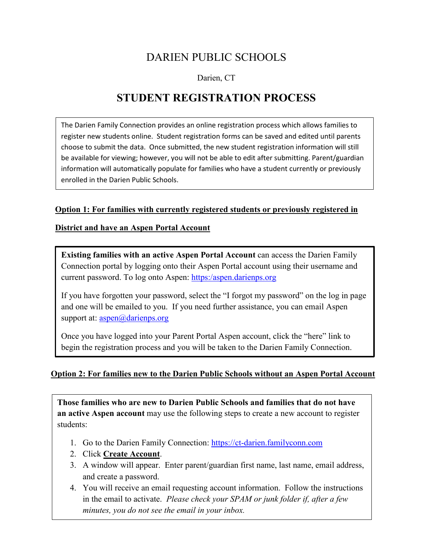## DARIEN PUBLIC SCHOOLS

Darien, CT

## **STUDENT REGISTRATION PROCESS**

The Darien Family Connection provides an online registration process which allows families to register new students online. Student registration forms can be saved and edited until parents choose to submit the data. Once submitted, the new student registration information will still be available for viewing; however, you will not be able to edit after submitting. Parent/guardian information will automatically populate for families who have a student currently or previously enrolled in the Darien Public Schools.

#### **Option 1: For families with currently registered students or previously registered in**

#### **District and have an Aspen Portal Account**

**Existing families with an active Aspen Portal Account** can access the Darien Family Connection portal by logging onto their Aspen Portal account using their username and current password. To log onto Aspen: https:/aspen.darienps.org

If you have forgotten your password, select the "I forgot my password" on the log in page and one will be emailed to you. If you need further assistance, you can email Aspen support at: <u>aspen</u>@darienps.org

Once you have logged into your Parent Portal Aspen account, click the "here" link to begin the registration process and you will be taken to the Darien Family Connection.

#### **Option 2: For families new to the Darien Public Schools without an Aspen Portal Account**

**Those families who are new to Darien Public Schools and families that do not have an active Aspen account** may use the following steps to create a new account to register students:

- 1. Go to the Darien Family Connection: [https://ct-darien.familyconn.com](https://ct-darien.familyconn.com/)
- 2. Click **Create Account**.
- 3. A window will appear. Enter parent/guardian first name, last name, email address, and create a password.
- 4. You will receive an email requesting account information. Follow the instructions in the email to activate. *Please check your SPAM or junk folder if, after a few minutes, you do not see the email in your inbox.*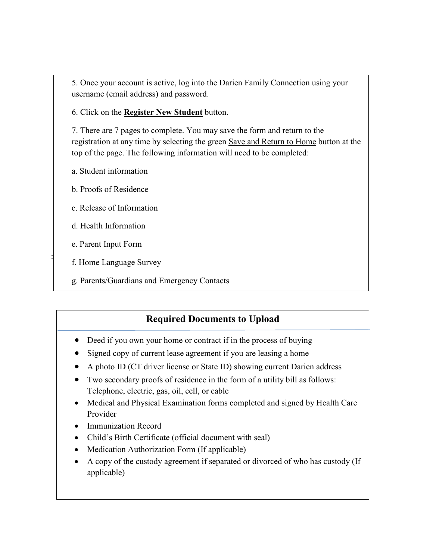5. Once your account is active, log into the Darien Family Connection using your username (email address) and password.

6. Click on the **Register New Student** button.

7. There are 7 pages to complete. You may save the form and return to the registration at any time by selecting the green Save and Return to Home button at the top of the page. The following information will need to be completed:

- a. Student information
- b. Proofs of Residence
- c. Release of Information
- d. Health Information
- e. Parent Input Form
- : f. Home Language Survey
- g. Parents/Guardians and Emergency Contacts

## **Required Documents to Upload**

- Deed if you own your home or contract if in the process of buying
- Signed copy of current lease agreement if you are leasing a home
- A photo ID (CT driver license or State ID) showing current Darien address
- Two secondary proofs of residence in the form of a utility bill as follows: Telephone, electric, gas, oil, cell, or cable
- Medical and Physical Examination forms completed and signed by Health Care Provider
- Immunization Record
- Child's Birth Certificate (official document with seal)
- Medication Authorization Form (If applicable)
- A copy of the custody agreement if separated or divorced of who has custody (If applicable)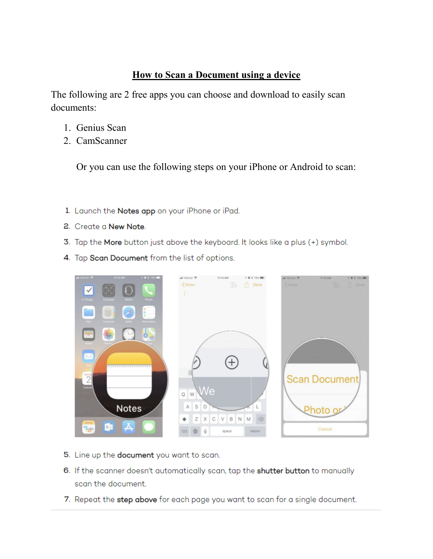## **How to Scan a Document using a device**

The following are 2 free apps you can choose and download to easily scan documents:

- 1. Genius Scan
- 2. CamScanner

Or you can use the following steps on your iPhone or Android to scan:

- 1. Launch the **Notes app** on your iPhone or iPad.
- **2.** Create a **New Note**
- **3**. Tap the More button just above the keyboard. It looks like a plus (+) symbol.
- 4. Tap Scan Document from the list of options.



- **5**. Line up the **document** you want to scan.
- **6.** If the scanner doesn't automatically scan, tap the **shutter button** to manually scan the document.
- 7. Repeat the step above for each page you want to scan for a single document.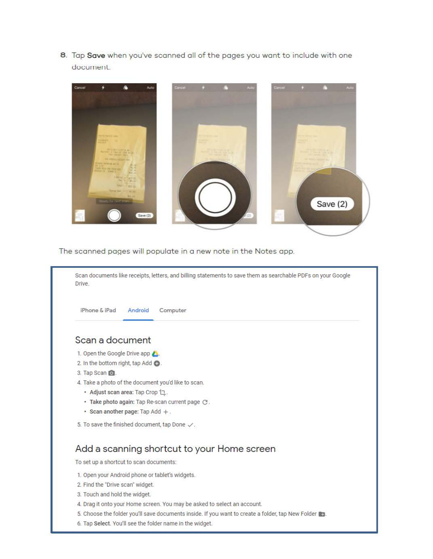**8**. Tap Save when you've scanned all of the pages you want to include with one document.



The scanned pages will populate in a new note in the Notes app.

| Drive.                           |                                                                          |
|----------------------------------|--------------------------------------------------------------------------|
| iPhone & iPad                    | Android<br>Computer                                                      |
| Scan a document                  |                                                                          |
| 1. Open the Google Drive app     |                                                                          |
| 2. In the bottom right, tap Add  |                                                                          |
| 3. Tap Scan O.                   |                                                                          |
|                                  | 4. Take a photo of the document you'd like to scan.                      |
|                                  | • Adjust scan area: Tap Crop 1.                                          |
|                                  | · Take photo again: Tap Re-scan current page $C$ .                       |
|                                  | • Scan another page: Tap Add $+$ .                                       |
|                                  | 5. To save the finished document, tap Done $\checkmark$ .                |
|                                  | Add a scanning shortcut to your Home screen                              |
|                                  | To set up a shortcut to scan documents:                                  |
|                                  | 1. Open your Android phone or tablet's widgets.                          |
| 2. Find the "Drive scan" widget. |                                                                          |
| 3. Touch and hold the widget.    |                                                                          |
|                                  | 4. Drag it onto your Home screen. You may be asked to select an account. |
|                                  |                                                                          |